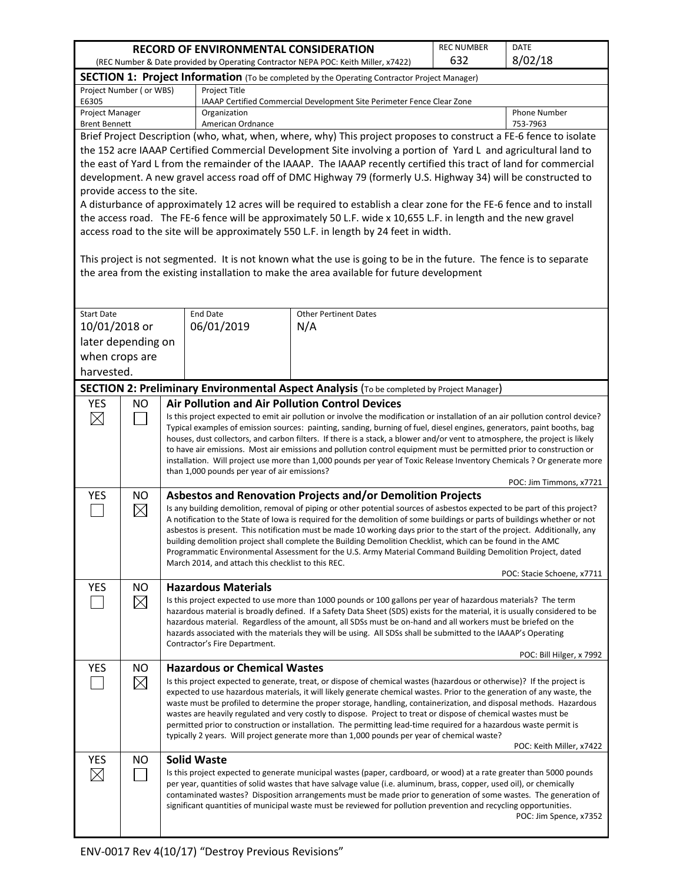| RECORD OF ENVIRONMENTAL CONSIDERATION                                                                                                                                                                           |                                                                                                                    |                                                                                                                                                                                                                                                                                                                                                                                                                                                                                                                                                                                                                                                                                                                                                                     |                                              |                                                                                                                                                                                                                                                                                                                                                                                                                                                                                      | <b>REC NUMBER</b>        | <b>DATE</b>              |  |  |  |  |
|-----------------------------------------------------------------------------------------------------------------------------------------------------------------------------------------------------------------|--------------------------------------------------------------------------------------------------------------------|---------------------------------------------------------------------------------------------------------------------------------------------------------------------------------------------------------------------------------------------------------------------------------------------------------------------------------------------------------------------------------------------------------------------------------------------------------------------------------------------------------------------------------------------------------------------------------------------------------------------------------------------------------------------------------------------------------------------------------------------------------------------|----------------------------------------------|--------------------------------------------------------------------------------------------------------------------------------------------------------------------------------------------------------------------------------------------------------------------------------------------------------------------------------------------------------------------------------------------------------------------------------------------------------------------------------------|--------------------------|--------------------------|--|--|--|--|
| 632<br>(REC Number & Date provided by Operating Contractor NEPA POC: Keith Miller, x7422)                                                                                                                       |                                                                                                                    |                                                                                                                                                                                                                                                                                                                                                                                                                                                                                                                                                                                                                                                                                                                                                                     |                                              |                                                                                                                                                                                                                                                                                                                                                                                                                                                                                      |                          | 8/02/18                  |  |  |  |  |
|                                                                                                                                                                                                                 | SECTION 1: Project Information (To be completed by the Operating Contractor Project Manager)                       |                                                                                                                                                                                                                                                                                                                                                                                                                                                                                                                                                                                                                                                                                                                                                                     |                                              |                                                                                                                                                                                                                                                                                                                                                                                                                                                                                      |                          |                          |  |  |  |  |
| Project Number ( or WBS)<br>Project Title<br>E6305<br>IAAAP Certified Commercial Development Site Perimeter Fence Clear Zone                                                                                    |                                                                                                                    |                                                                                                                                                                                                                                                                                                                                                                                                                                                                                                                                                                                                                                                                                                                                                                     |                                              |                                                                                                                                                                                                                                                                                                                                                                                                                                                                                      |                          |                          |  |  |  |  |
| Project Manager<br><b>Brent Bennett</b>                                                                                                                                                                         |                                                                                                                    |                                                                                                                                                                                                                                                                                                                                                                                                                                                                                                                                                                                                                                                                                                                                                                     | Organization<br>American Ordnance            |                                                                                                                                                                                                                                                                                                                                                                                                                                                                                      |                          | Phone Number<br>753-7963 |  |  |  |  |
|                                                                                                                                                                                                                 |                                                                                                                    |                                                                                                                                                                                                                                                                                                                                                                                                                                                                                                                                                                                                                                                                                                                                                                     |                                              | Brief Project Description (who, what, when, where, why) This project proposes to construct a FE-6 fence to isolate                                                                                                                                                                                                                                                                                                                                                                   |                          |                          |  |  |  |  |
|                                                                                                                                                                                                                 | the 152 acre IAAAP Certified Commercial Development Site involving a portion of Yard L and agricultural land to    |                                                                                                                                                                                                                                                                                                                                                                                                                                                                                                                                                                                                                                                                                                                                                                     |                                              |                                                                                                                                                                                                                                                                                                                                                                                                                                                                                      |                          |                          |  |  |  |  |
|                                                                                                                                                                                                                 | the east of Yard L from the remainder of the IAAAP. The IAAAP recently certified this tract of land for commercial |                                                                                                                                                                                                                                                                                                                                                                                                                                                                                                                                                                                                                                                                                                                                                                     |                                              |                                                                                                                                                                                                                                                                                                                                                                                                                                                                                      |                          |                          |  |  |  |  |
| development. A new gravel access road off of DMC Highway 79 (formerly U.S. Highway 34) will be constructed to                                                                                                   |                                                                                                                    |                                                                                                                                                                                                                                                                                                                                                                                                                                                                                                                                                                                                                                                                                                                                                                     |                                              |                                                                                                                                                                                                                                                                                                                                                                                                                                                                                      |                          |                          |  |  |  |  |
|                                                                                                                                                                                                                 | provide access to the site.                                                                                        |                                                                                                                                                                                                                                                                                                                                                                                                                                                                                                                                                                                                                                                                                                                                                                     |                                              |                                                                                                                                                                                                                                                                                                                                                                                                                                                                                      |                          |                          |  |  |  |  |
|                                                                                                                                                                                                                 |                                                                                                                    |                                                                                                                                                                                                                                                                                                                                                                                                                                                                                                                                                                                                                                                                                                                                                                     |                                              | A disturbance of approximately 12 acres will be required to establish a clear zone for the FE-6 fence and to install                                                                                                                                                                                                                                                                                                                                                                 |                          |                          |  |  |  |  |
|                                                                                                                                                                                                                 |                                                                                                                    |                                                                                                                                                                                                                                                                                                                                                                                                                                                                                                                                                                                                                                                                                                                                                                     |                                              | the access road. The FE-6 fence will be approximately 50 L.F. wide x 10,655 L.F. in length and the new gravel                                                                                                                                                                                                                                                                                                                                                                        |                          |                          |  |  |  |  |
|                                                                                                                                                                                                                 |                                                                                                                    |                                                                                                                                                                                                                                                                                                                                                                                                                                                                                                                                                                                                                                                                                                                                                                     |                                              | access road to the site will be approximately 550 L.F. in length by 24 feet in width.                                                                                                                                                                                                                                                                                                                                                                                                |                          |                          |  |  |  |  |
| This project is not segmented. It is not known what the use is going to be in the future. The fence is to separate<br>the area from the existing installation to make the area available for future development |                                                                                                                    |                                                                                                                                                                                                                                                                                                                                                                                                                                                                                                                                                                                                                                                                                                                                                                     |                                              |                                                                                                                                                                                                                                                                                                                                                                                                                                                                                      |                          |                          |  |  |  |  |
| <b>Start Date</b>                                                                                                                                                                                               |                                                                                                                    |                                                                                                                                                                                                                                                                                                                                                                                                                                                                                                                                                                                                                                                                                                                                                                     | <b>End Date</b>                              | <b>Other Pertinent Dates</b>                                                                                                                                                                                                                                                                                                                                                                                                                                                         |                          |                          |  |  |  |  |
| 10/01/2018 or                                                                                                                                                                                                   |                                                                                                                    |                                                                                                                                                                                                                                                                                                                                                                                                                                                                                                                                                                                                                                                                                                                                                                     | 06/01/2019                                   | N/A                                                                                                                                                                                                                                                                                                                                                                                                                                                                                  |                          |                          |  |  |  |  |
| later depending on                                                                                                                                                                                              |                                                                                                                    |                                                                                                                                                                                                                                                                                                                                                                                                                                                                                                                                                                                                                                                                                                                                                                     |                                              |                                                                                                                                                                                                                                                                                                                                                                                                                                                                                      |                          |                          |  |  |  |  |
| when crops are                                                                                                                                                                                                  |                                                                                                                    |                                                                                                                                                                                                                                                                                                                                                                                                                                                                                                                                                                                                                                                                                                                                                                     |                                              |                                                                                                                                                                                                                                                                                                                                                                                                                                                                                      |                          |                          |  |  |  |  |
| harvested.                                                                                                                                                                                                      |                                                                                                                    |                                                                                                                                                                                                                                                                                                                                                                                                                                                                                                                                                                                                                                                                                                                                                                     |                                              |                                                                                                                                                                                                                                                                                                                                                                                                                                                                                      |                          |                          |  |  |  |  |
|                                                                                                                                                                                                                 |                                                                                                                    |                                                                                                                                                                                                                                                                                                                                                                                                                                                                                                                                                                                                                                                                                                                                                                     |                                              | SECTION 2: Preliminary Environmental Aspect Analysis (To be completed by Project Manager)                                                                                                                                                                                                                                                                                                                                                                                            |                          |                          |  |  |  |  |
| <b>YES</b>                                                                                                                                                                                                      | <b>NO</b>                                                                                                          |                                                                                                                                                                                                                                                                                                                                                                                                                                                                                                                                                                                                                                                                                                                                                                     |                                              | <b>Air Pollution and Air Pollution Control Devices</b>                                                                                                                                                                                                                                                                                                                                                                                                                               |                          |                          |  |  |  |  |
| $\boxtimes$                                                                                                                                                                                                     |                                                                                                                    | Is this project expected to emit air pollution or involve the modification or installation of an air pollution control device?<br>Typical examples of emission sources: painting, sanding, burning of fuel, diesel engines, generators, paint booths, bag<br>houses, dust collectors, and carbon filters. If there is a stack, a blower and/or vent to atmosphere, the project is likely<br>to have air emissions. Most air emissions and pollution control equipment must be permitted prior to construction or<br>installation. Will project use more than 1,000 pounds per year of Toxic Release Inventory Chemicals ? Or generate more                                                                                                                          |                                              |                                                                                                                                                                                                                                                                                                                                                                                                                                                                                      |                          |                          |  |  |  |  |
|                                                                                                                                                                                                                 |                                                                                                                    |                                                                                                                                                                                                                                                                                                                                                                                                                                                                                                                                                                                                                                                                                                                                                                     | than 1,000 pounds per year of air emissions? |                                                                                                                                                                                                                                                                                                                                                                                                                                                                                      |                          | POC: Jim Timmons, x7721  |  |  |  |  |
| <b>YES</b>                                                                                                                                                                                                      | NO.<br>$\boxtimes$                                                                                                 | Asbestos and Renovation Projects and/or Demolition Projects<br>Is any building demolition, removal of piping or other potential sources of asbestos expected to be part of this project?<br>A notification to the State of Iowa is required for the demolition of some buildings or parts of buildings whether or not<br>asbestos is present. This notification must be made 10 working days prior to the start of the project. Additionally, any<br>building demolition project shall complete the Building Demolition Checklist, which can be found in the AMC<br>Programmatic Environmental Assessment for the U.S. Army Material Command Building Demolition Project, dated<br>March 2014, and attach this checklist to this REC.<br>POC: Stacie Schoene, x7711 |                                              |                                                                                                                                                                                                                                                                                                                                                                                                                                                                                      |                          |                          |  |  |  |  |
| <b>YES</b>                                                                                                                                                                                                      | NO.                                                                                                                |                                                                                                                                                                                                                                                                                                                                                                                                                                                                                                                                                                                                                                                                                                                                                                     | <b>Hazardous Materials</b>                   |                                                                                                                                                                                                                                                                                                                                                                                                                                                                                      |                          |                          |  |  |  |  |
|                                                                                                                                                                                                                 | $\times$                                                                                                           | Is this project expected to use more than 1000 pounds or 100 gallons per year of hazardous materials? The term<br>hazardous material is broadly defined. If a Safety Data Sheet (SDS) exists for the material, it is usually considered to be<br>hazardous material. Regardless of the amount, all SDSs must be on-hand and all workers must be briefed on the<br>hazards associated with the materials they will be using. All SDSs shall be submitted to the IAAAP's Operating<br>Contractor's Fire Department.                                                                                                                                                                                                                                                   |                                              |                                                                                                                                                                                                                                                                                                                                                                                                                                                                                      |                          |                          |  |  |  |  |
|                                                                                                                                                                                                                 |                                                                                                                    |                                                                                                                                                                                                                                                                                                                                                                                                                                                                                                                                                                                                                                                                                                                                                                     |                                              |                                                                                                                                                                                                                                                                                                                                                                                                                                                                                      |                          | POC: Bill Hilger, x 7992 |  |  |  |  |
| <b>YES</b>                                                                                                                                                                                                      | NO.<br>$\times$                                                                                                    | <b>Hazardous or Chemical Wastes</b><br>Is this project expected to generate, treat, or dispose of chemical wastes (hazardous or otherwise)? If the project is<br>expected to use hazardous materials, it will likely generate chemical wastes. Prior to the generation of any waste, the<br>waste must be profiled to determine the proper storage, handling, containerization, and disposal methods. Hazardous<br>wastes are heavily regulated and very costly to dispose. Project to treat or dispose of chemical wastes must be<br>permitted prior to construction or installation. The permitting lead-time required for a hazardous waste permit is<br>typically 2 years. Will project generate more than 1,000 pounds per year of chemical waste?             |                                              |                                                                                                                                                                                                                                                                                                                                                                                                                                                                                      | POC: Keith Miller, x7422 |                          |  |  |  |  |
| <b>YES</b><br>$\boxtimes$                                                                                                                                                                                       | NO.                                                                                                                |                                                                                                                                                                                                                                                                                                                                                                                                                                                                                                                                                                                                                                                                                                                                                                     | <b>Solid Waste</b>                           | Is this project expected to generate municipal wastes (paper, cardboard, or wood) at a rate greater than 5000 pounds<br>per year, quantities of solid wastes that have salvage value (i.e. aluminum, brass, copper, used oil), or chemically<br>contaminated wastes? Disposition arrangements must be made prior to generation of some wastes. The generation of<br>significant quantities of municipal waste must be reviewed for pollution prevention and recycling opportunities. |                          | POC: Jim Spence, x7352   |  |  |  |  |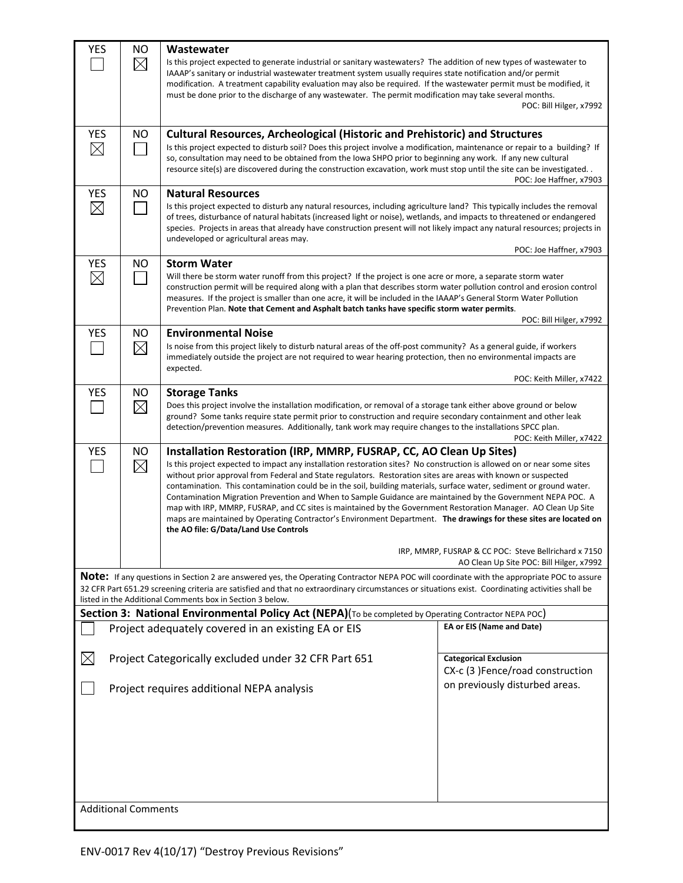| <b>YES</b>                 | NO.<br>$\boxtimes$       | Wastewater<br>Is this project expected to generate industrial or sanitary wastewaters? The addition of new types of wastewater to<br>IAAAP's sanitary or industrial wastewater treatment system usually requires state notification and/or permit<br>modification. A treatment capability evaluation may also be required. If the wastewater permit must be modified, it<br>must be done prior to the discharge of any wastewater. The permit modification may take several months.<br>POC: Bill Hilger, x7992                                                                                                                                                                                                                                                                                                                         |                                                                  |  |  |  |  |
|----------------------------|--------------------------|----------------------------------------------------------------------------------------------------------------------------------------------------------------------------------------------------------------------------------------------------------------------------------------------------------------------------------------------------------------------------------------------------------------------------------------------------------------------------------------------------------------------------------------------------------------------------------------------------------------------------------------------------------------------------------------------------------------------------------------------------------------------------------------------------------------------------------------|------------------------------------------------------------------|--|--|--|--|
| <b>YES</b><br>$\boxtimes$  | ΝO                       | <b>Cultural Resources, Archeological (Historic and Prehistoric) and Structures</b><br>Is this project expected to disturb soil? Does this project involve a modification, maintenance or repair to a building? If<br>so, consultation may need to be obtained from the Iowa SHPO prior to beginning any work. If any new cultural<br>resource site(s) are discovered during the construction excavation, work must stop until the site can be investigated. .<br>POC: Joe Haffner, x7903                                                                                                                                                                                                                                                                                                                                               |                                                                  |  |  |  |  |
| <b>YES</b><br>$\boxtimes$  | <b>NO</b>                | <b>Natural Resources</b><br>Is this project expected to disturb any natural resources, including agriculture land? This typically includes the removal<br>of trees, disturbance of natural habitats (increased light or noise), wetlands, and impacts to threatened or endangered<br>species. Projects in areas that already have construction present will not likely impact any natural resources; projects in<br>undeveloped or agricultural areas may.<br>POC: Joe Haffner, x7903                                                                                                                                                                                                                                                                                                                                                  |                                                                  |  |  |  |  |
| <b>YES</b><br>$\boxtimes$  | <b>NO</b>                | <b>Storm Water</b><br>Will there be storm water runoff from this project? If the project is one acre or more, a separate storm water<br>construction permit will be required along with a plan that describes storm water pollution control and erosion control<br>measures. If the project is smaller than one acre, it will be included in the IAAAP's General Storm Water Pollution<br>Prevention Plan. Note that Cement and Asphalt batch tanks have specific storm water permits.<br>POC: Bill Hilger, x7992                                                                                                                                                                                                                                                                                                                      |                                                                  |  |  |  |  |
| <b>YES</b>                 | <b>NO</b><br>$\boxtimes$ | <b>Environmental Noise</b><br>Is noise from this project likely to disturb natural areas of the off-post community? As a general guide, if workers<br>immediately outside the project are not required to wear hearing protection, then no environmental impacts are<br>expected.                                                                                                                                                                                                                                                                                                                                                                                                                                                                                                                                                      |                                                                  |  |  |  |  |
| <b>YES</b>                 | NO<br>$\boxtimes$        | POC: Keith Miller, x7422<br><b>Storage Tanks</b><br>Does this project involve the installation modification, or removal of a storage tank either above ground or below<br>ground? Some tanks require state permit prior to construction and require secondary containment and other leak<br>detection/prevention measures. Additionally, tank work may require changes to the installations SPCC plan.<br>POC: Keith Miller, x7422                                                                                                                                                                                                                                                                                                                                                                                                     |                                                                  |  |  |  |  |
| <b>YES</b>                 | NO<br>$\boxtimes$        | Installation Restoration (IRP, MMRP, FUSRAP, CC, AO Clean Up Sites)<br>Is this project expected to impact any installation restoration sites? No construction is allowed on or near some sites<br>without prior approval from Federal and State regulators. Restoration sites are areas with known or suspected<br>contamination. This contamination could be in the soil, building materials, surface water, sediment or ground water.<br>Contamination Migration Prevention and When to Sample Guidance are maintained by the Government NEPA POC. A<br>map with IRP, MMRP, FUSRAP, and CC sites is maintained by the Government Restoration Manager. AO Clean Up Site<br>maps are maintained by Operating Contractor's Environment Department. The drawings for these sites are located on<br>the AO file: G/Data/Land Use Controls |                                                                  |  |  |  |  |
|                            |                          | IRP, MMRP, FUSRAP & CC POC: Steve Bellrichard x 7150<br>AO Clean Up Site POC: Bill Hilger, x7992                                                                                                                                                                                                                                                                                                                                                                                                                                                                                                                                                                                                                                                                                                                                       |                                                                  |  |  |  |  |
|                            |                          | Note: If any questions in Section 2 are answered yes, the Operating Contractor NEPA POC will coordinate with the appropriate POC to assure<br>32 CFR Part 651.29 screening criteria are satisfied and that no extraordinary circumstances or situations exist. Coordinating activities shall be<br>listed in the Additional Comments box in Section 3 below.                                                                                                                                                                                                                                                                                                                                                                                                                                                                           |                                                                  |  |  |  |  |
|                            |                          | Section 3: National Environmental Policy Act (NEPA)(To be completed by Operating Contractor NEPA POC)                                                                                                                                                                                                                                                                                                                                                                                                                                                                                                                                                                                                                                                                                                                                  |                                                                  |  |  |  |  |
|                            |                          | Project adequately covered in an existing EA or EIS                                                                                                                                                                                                                                                                                                                                                                                                                                                                                                                                                                                                                                                                                                                                                                                    | EA or EIS (Name and Date)                                        |  |  |  |  |
| $\boxtimes$                |                          | Project Categorically excluded under 32 CFR Part 651                                                                                                                                                                                                                                                                                                                                                                                                                                                                                                                                                                                                                                                                                                                                                                                   | <b>Categorical Exclusion</b><br>CX-c (3) Fence/road construction |  |  |  |  |
| <b>Additional Comments</b> |                          | Project requires additional NEPA analysis                                                                                                                                                                                                                                                                                                                                                                                                                                                                                                                                                                                                                                                                                                                                                                                              | on previously disturbed areas.                                   |  |  |  |  |
|                            |                          |                                                                                                                                                                                                                                                                                                                                                                                                                                                                                                                                                                                                                                                                                                                                                                                                                                        |                                                                  |  |  |  |  |